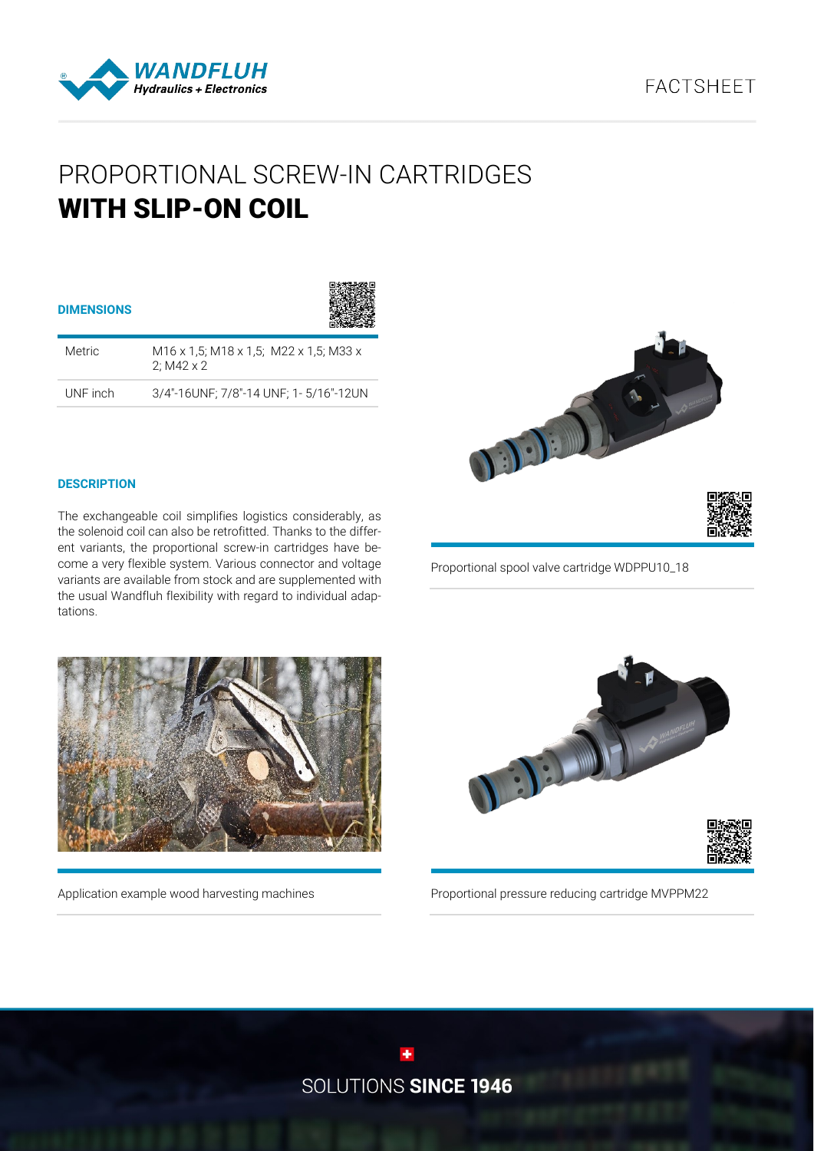# **FACTSHFFT**



# PROPORTIONAL SCREW-IN CARTRIDGES WITH SLIP-ON COIL

| <b>DIMENSIONS</b> |                                                             |
|-------------------|-------------------------------------------------------------|
| Metric            | M16 x 1.5; M18 x 1.5; M22 x 1.5; M33 x<br>2: $M42 \times 2$ |
| UNF inch          | 3/4"-16UNF; 7/8"-14 UNF; 1- 5/16"-12UN                      |



## **DESCRIPTION**

The exchangeable coil simplifies logistics considerably, as the solenoid coil can also be retrofitted. Thanks to the different variants, the proportional screw-in cartridges have become a very flexible system. Various connector and voltage variants are available from stock and are supplemented with the usual Wandfluh flexibility with regard to individual adaptations.

Proportional spool valve cartridge WDPPU10\_18



Application example wood harvesting machines



Proportional pressure reducing cartridge MVPPM22